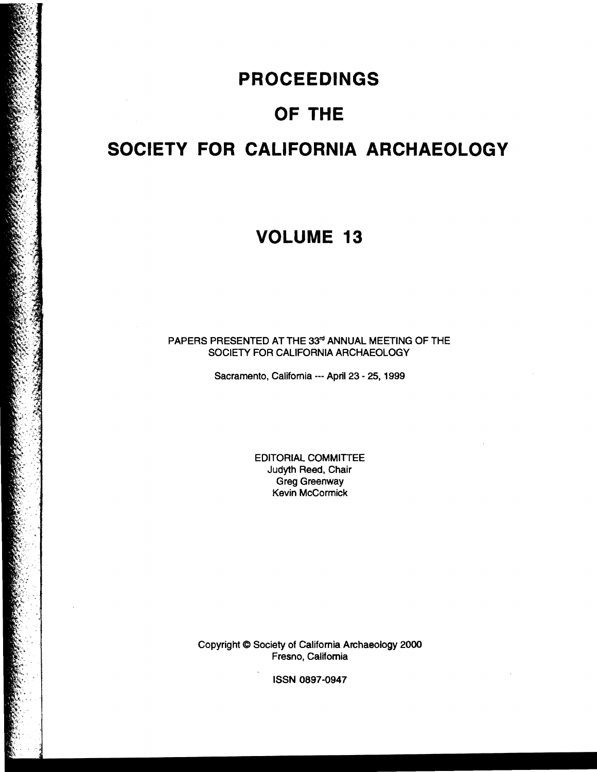## **PROCEEDINGS**

 $\mathbb{R}^2$ 

## **OF THE**

# **SOCIETY FOR CALIFORNIA ARCHAEOLOGY**

## **VOLUME 13**

PAPERS PRESENTED AT THE 33<sup>rd</sup> ANNUAL MEETING OF THE SOCIETY FOR CALIFORNIA ARCHAEOLOGY

Sacramento, Califomia --- April 23 - 25, 1999

EDITORIAL COMMITIEE Judyth Reed, Chair Greg Greenway Kevin McCormick

Copyright C Society of Califomia Archaeology 2000 Fresno, California

ISSN 0897-0947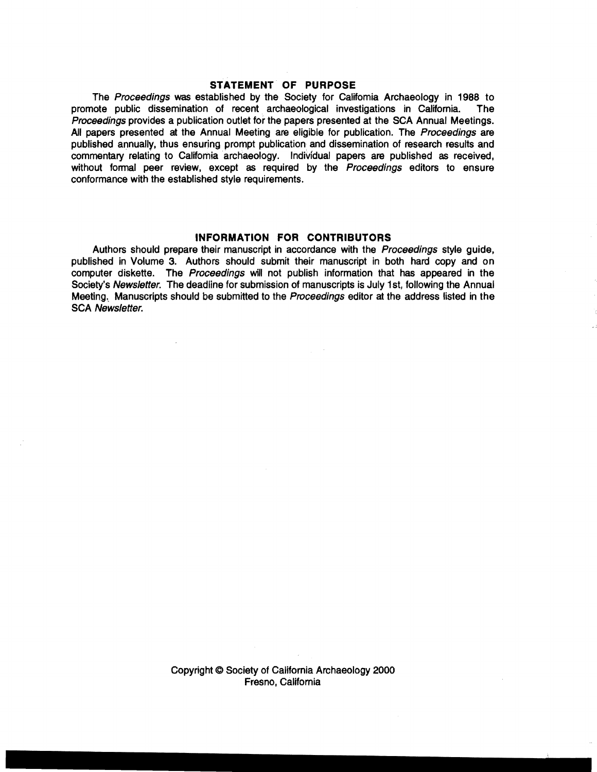### **STATEMENT OF PURPOSE**

The Proceedings was established by the Society for Califomia Archaeology in 1988 to promote public dissemination of recent archaeological investigations in Califomia. The Proceedings provides a publication outlet for the papers presented at the SCA Annual Meetings. All papers presented at the Annual Meeting are eligible for publication. The Proceedings are published annually. thus ensuring prompt publication and dissemination of research results and commentary relating to Califomia archaeology. Individual papers are published as received, without formal peer review, except as required by the Proceedings editors to ensure conformance with the established style requirements.

#### **INFORMATION FOR CONTRIBUTORS**

 $\sim 100$ 

Authors should prepare their manuscript in accordance with the Proceedings style guide, published in Volume 3. Authors should submit their manuscript in both hard copy and on computer diskette. The Proceedings will not publish information that has appeared in the Society's Newsletter. The deadline for submission of manuscripts is July 1st, following the Annual Meeting. Manuscripts should be submitted to the Proceedings editor at the address listed in the SCA Newsletter.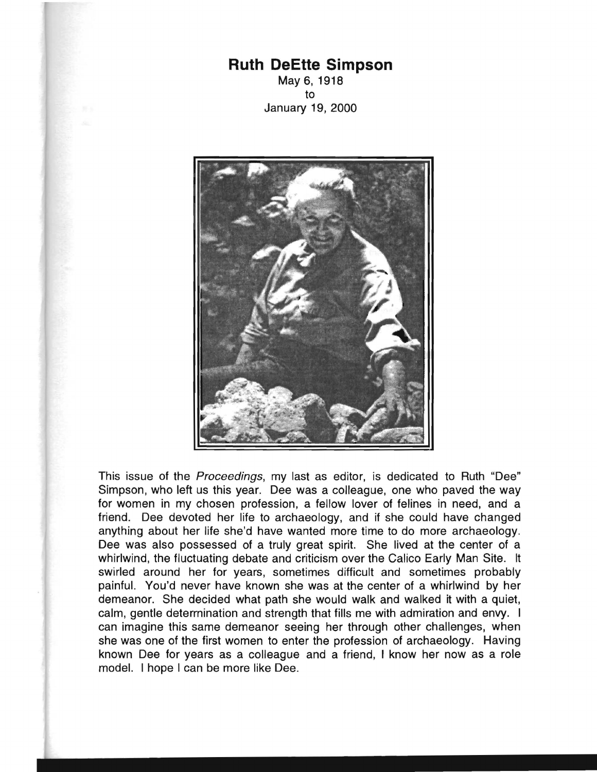## **Ruth OeEtte Simpson**  May 6, 1918

to January 19, 2000



This issue of the Proceedings, my last as editor, is dedicated to Ruth "Dee" Simpson, who left us this year. Dee was a colleague, one who paved the way for women in my chosen profession, a fellow lover of felines in need, and a friend. Dee devoted her life to archaeology, and if she could have changed anything about her life she'd have wanted more time to do more archaeology. Dee was also possessed of a truly great spirit. She lived at the center of a whirlwind, the fluctuating debate and criticism over the Calico Early Man Site. It swirled around her for years, sometimes difficult and sometimes probably painful. You'd never have known she was at the center of a whirlwind by her demeanor. She decided what path she would walk and walked it with a quiet, calm, gentle deterrnination and strength that fills me with admiration and envy. I can imagine this same demeanor seeing her through other challenges, when she was one of the first women to enter the profession of archaeology. Having known Dee for years as a colleague and a friend, I know her now as a role model. I hope I can be more like Dee.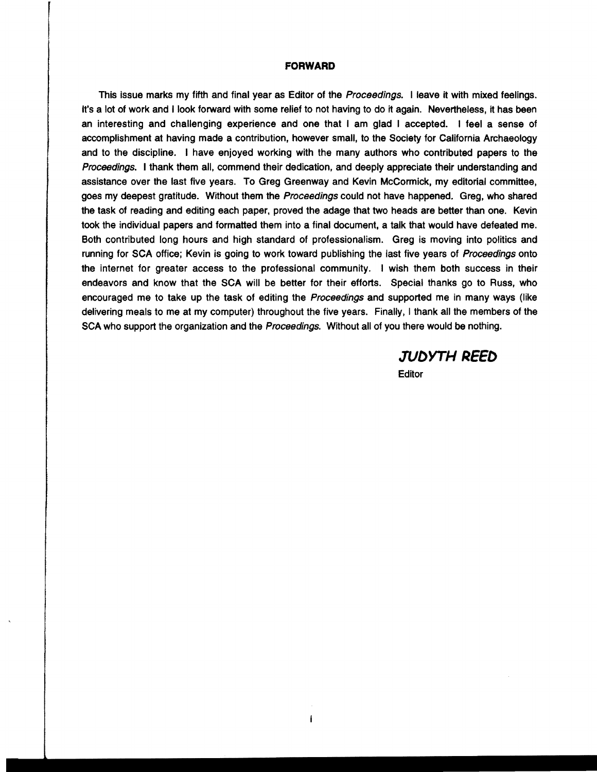#### **FORWARD**

This issue marks my fifth and final year as Editor of the Proceedings. I leave it with mixed feelings. It's a lot of work and I look forward with some relief to not having to do it again. Nevertheless, it has been an interesting and challenging experience and one that I am glad I accepted. I feel a sense of accomplishment at having made a contribution, however small, to the Society for California Archaeology and to the discipline. I have enjoyed working with the many authors who contributed papers to the Proceedings. I thank them all, commend their dedication, and deeply appreciate their understanding and assistance over the last five years. To Greg Greenway and Kevin McCormick, my editorial committee, goes my deepest gratitude. Without them the Proceedings could not have happened. Greg, who shared the task of reading and editing each paper, proved the adage that two heads are better than one. Kevin took the individual papers and formatted them into a final document, a talk that would have defeated me. Both contributed long hours and high standard of professionalism. Greg is moving into politics and running for SCA office; Kevin is going to work toward publishing the last five years of Proceedings onto the internet for greater access to the professional community. I wish them both success in their endeavors and know that the SCA will be better for their efforts. Special thanks go to Russ, who encouraged me to take up the task of editing the Proceedings and supported me in many ways (like delivering meals to me at my computer) throughout the five years. Finally, I thank all the members of the SCA who support the organization and the Proceedings. Without all of you there would be nothing.

> **JVOYTHREEO Editor**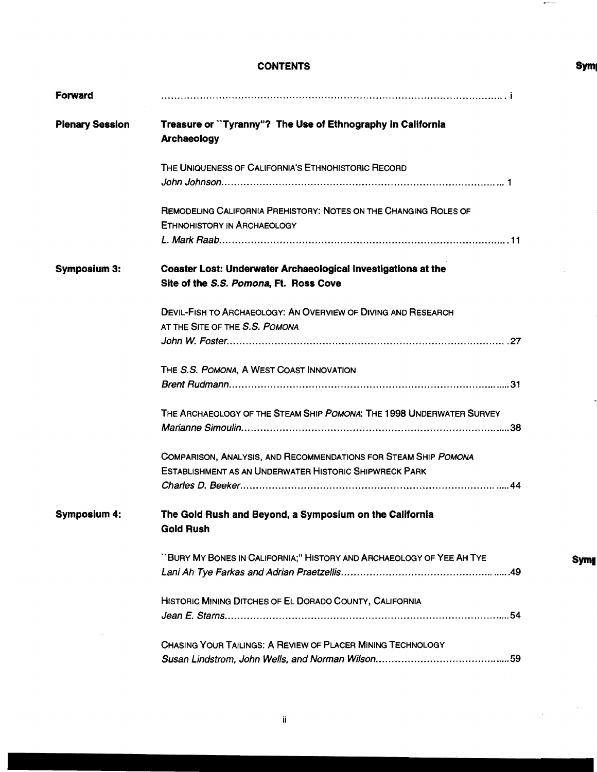### CONTENTS

| Forward                |                                                                                                         |
|------------------------|---------------------------------------------------------------------------------------------------------|
| <b>Plenary Session</b> | Treasure or "Tyranny"? The Use of Ethnography In California<br><b>Archaeology</b>                       |
|                        | THE UNIQUENESS OF CALIFORNIA'S ETHNOHISTORIC RECORD                                                     |
|                        |                                                                                                         |
|                        | REMODELING CALIFORNIA PREHISTORY: NOTES ON THE CHANGING ROLES OF<br><b>ETHNOHISTORY IN ARCHAEOLOGY</b>  |
|                        |                                                                                                         |
| <b>Symposium 3:</b>    | Coaster Lost: Underwater Archaeological Investigations at the<br>Site of the S.S. Pomona, Ft. Ross Cove |
|                        | DEVIL-FISH TO ARCHAEOLOGY: AN OVERVIEW OF DIVING AND RESEARCH                                           |
|                        | AT THE SITE OF THE S.S. POMONA                                                                          |
|                        |                                                                                                         |
|                        | THE S.S. POMONA, A WEST COAST INNOVATION                                                                |
|                        |                                                                                                         |
|                        | THE ARCHAEOLOGY OF THE STEAM SHIP POMONA: THE 1998 UNDERWATER SURVEY                                    |
|                        | COMPARISON, ANALYSIS, AND RECOMMENDATIONS FOR STEAM SHIP POMONA                                         |
|                        | <b>ESTABLISHMENT AS AN UNDERWATER HISTORIC SHIPWRECK PARK</b>                                           |
|                        |                                                                                                         |
| <b>Symposium 4:</b>    | The Gold Rush and Beyond, a Symposium on the California<br><b>Gold Rush</b>                             |
|                        | "BURY MY BONES IN CALIFORNIA;" HISTORY AND ARCHAEOLOGY OF YEE AH TYE                                    |
|                        |                                                                                                         |
|                        | HISTORIC MINING DITCHES OF EL DORADO COUNTY, CALIFORNIA                                                 |
|                        |                                                                                                         |
|                        | CHASING YOUR TAILINGS: A REVIEW OF PLACER MINING TECHNOLOGY                                             |
|                        |                                                                                                         |

 $\hat{\boldsymbol{\beta}}$ 

 $\hat{\boldsymbol{\epsilon}}$ 

 $\bar{z}$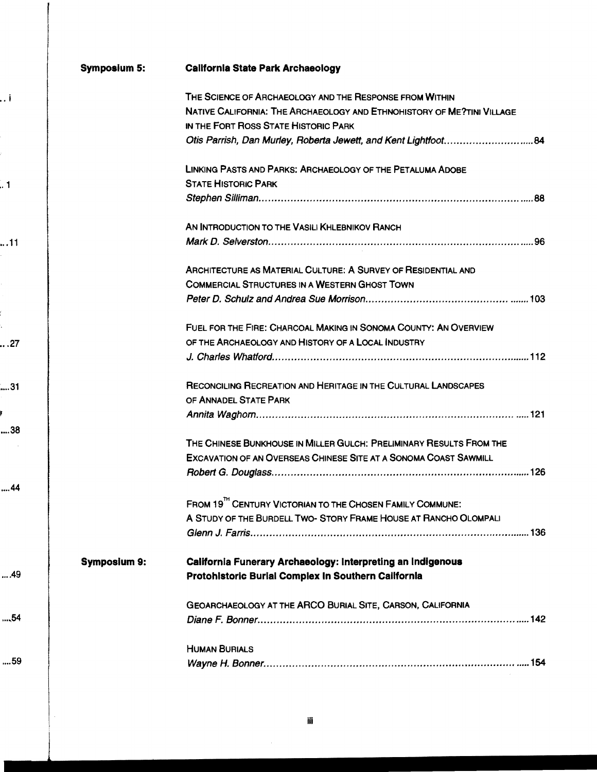#### **Symposium 5: California State Park Archaeology**

|              | THE SCIENCE OF ARCHAEOLOGY AND THE RESPONSE FROM WITHIN                                                            |
|--------------|--------------------------------------------------------------------------------------------------------------------|
|              | NATIVE CALIFORNIA: THE ARCHAEOLOGY AND ETHNOHISTORY OF ME?TINI VILLAGE                                             |
|              | IN THE FORT ROSS STATE HISTORIC PARK                                                                               |
|              | Otis Parrish, Dan Murley, Roberta Jewett, and Kent Lightfoot84                                                     |
|              | LINKING PASTS AND PARKS: ARCHAEOLOGY OF THE PETALUMA ADOBE                                                         |
|              | <b>STATE HISTORIC PARK</b>                                                                                         |
|              |                                                                                                                    |
|              | AN INTRODUCTION TO THE VASILI KHLEBNIKOV RANCH                                                                     |
|              |                                                                                                                    |
|              | ARCHITECTURE AS MATERIAL CULTURE: A SURVEY OF RESIDENTIAL AND                                                      |
|              | <b>COMMERCIAL STRUCTURES IN A WESTERN GHOST TOWN</b>                                                               |
|              |                                                                                                                    |
|              | FUEL FOR THE FIRE: CHARCOAL MAKING IN SONOMA COUNTY: AN OVERVIEW                                                   |
|              | OF THE ARCHAEOLOGY AND HISTORY OF A LOCAL INDUSTRY                                                                 |
|              |                                                                                                                    |
|              | RECONCILING RECREATION AND HERITAGE IN THE CULTURAL LANDSCAPES                                                     |
|              | OF ANNADEL STATE PARK                                                                                              |
|              |                                                                                                                    |
|              | THE CHINESE BUNKHOUSE IN MILLER GULCH: PRELIMINARY RESULTS FROM THE                                                |
|              | <b>EXCAVATION OF AN OVERSEAS CHINESE SITE AT A SONOMA COAST SAWMILL</b>                                            |
|              |                                                                                                                    |
|              | FROM 19 <sup>TH</sup> CENTURY VICTORIAN TO THE CHOSEN FAMILY COMMUNE:                                              |
|              | A STUDY OF THE BURDELL TWO-STORY FRAME HOUSE AT RANCHO OLOMPALI                                                    |
|              | Glenn J. Farris………………………………………………………………………………136                                                                   |
| Symposium 9: | California Funerary Archaeology: Interpreting an Indigenous<br>Protohlstoric Burial Complex In Southern California |
|              | GEOARCHAEOLOGY AT THE ARCO BURIAL SITE, CARSON, CALIFORNIA                                                         |
|              | <b>HUMAN BURIALS</b>                                                                                               |
|              |                                                                                                                    |
|              |                                                                                                                    |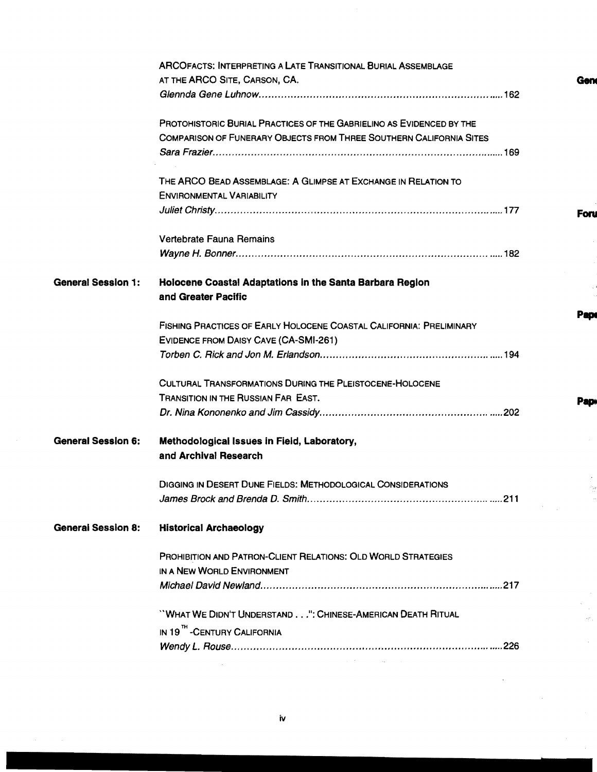|                           | <b>ARCOFACTS: INTERPRETING A LATE TRANSITIONAL BURIAL ASSEMBLAGE</b><br>AT THE ARCO SITE, CARSON, CA. |  |
|---------------------------|-------------------------------------------------------------------------------------------------------|--|
|                           |                                                                                                       |  |
|                           |                                                                                                       |  |
|                           | PROTOHISTORIC BURIAL PRACTICES OF THE GABRIELINO AS EVIDENCED BY THE                                  |  |
|                           | COMPARISON OF FUNERARY OBJECTS FROM THREE SOUTHERN CALIFORNIA SITES                                   |  |
|                           |                                                                                                       |  |
|                           | THE ARCO BEAD ASSEMBLAGE: A GLIMPSE AT EXCHANGE IN RELATION TO                                        |  |
|                           | <b>ENVIRONMENTAL VARIABILITY</b>                                                                      |  |
|                           |                                                                                                       |  |
|                           | Vertebrate Fauna Remains                                                                              |  |
|                           |                                                                                                       |  |
|                           |                                                                                                       |  |
| <b>General Session 1:</b> | Holocene Coastal Adaptations in the Santa Barbara Region                                              |  |
|                           | and Greater Pacific                                                                                   |  |
|                           | FISHING PRACTICES OF EARLY HOLOCENE COASTAL CALIFORNIA: PRELIMINARY                                   |  |
|                           | EVIDENCE FROM DAISY CAVE (CA-SMI-261)                                                                 |  |
|                           |                                                                                                       |  |
|                           | <b>CULTURAL TRANSFORMATIONS DURING THE PLEISTOCENE-HOLOCENE</b>                                       |  |
|                           | TRANSITION IN THE RUSSIAN FAR EAST.                                                                   |  |
|                           |                                                                                                       |  |
|                           |                                                                                                       |  |
| <b>General Session 6:</b> | Methodological Issues in Field, Laboratory,                                                           |  |
|                           | and Archival Research                                                                                 |  |
|                           | <b>DIGGING IN DESERT DUNE FIELDS: METHODOLOGICAL CONSIDERATIONS</b>                                   |  |
|                           |                                                                                                       |  |
| <b>General Session 8:</b> | <b>Historical Archaeology</b>                                                                         |  |
|                           |                                                                                                       |  |
|                           | <b>PROHIBITION AND PATRON-CLIENT RELATIONS: OLD WORLD STRATEGIES</b>                                  |  |
|                           | IN A NEW WORLD ENVIRONMENT                                                                            |  |
|                           |                                                                                                       |  |
|                           | "WHAT WE DIDN'T UNDERSTAND": CHINESE-AMERICAN DEATH RITUAL                                            |  |
|                           | IN 19" - CENTURY CALIFORNIA                                                                           |  |
|                           |                                                                                                       |  |
|                           | and the control of the control of                                                                     |  |
|                           |                                                                                                       |  |

 $\label{eq:1} \frac{1}{\sqrt{2\pi}}\int_{0}^{\pi} \frac{1}{\sqrt{2\pi}}\,d\mu$ 

 $\hat{\mathcal{A}}$ 

 $\bar{\beta}$